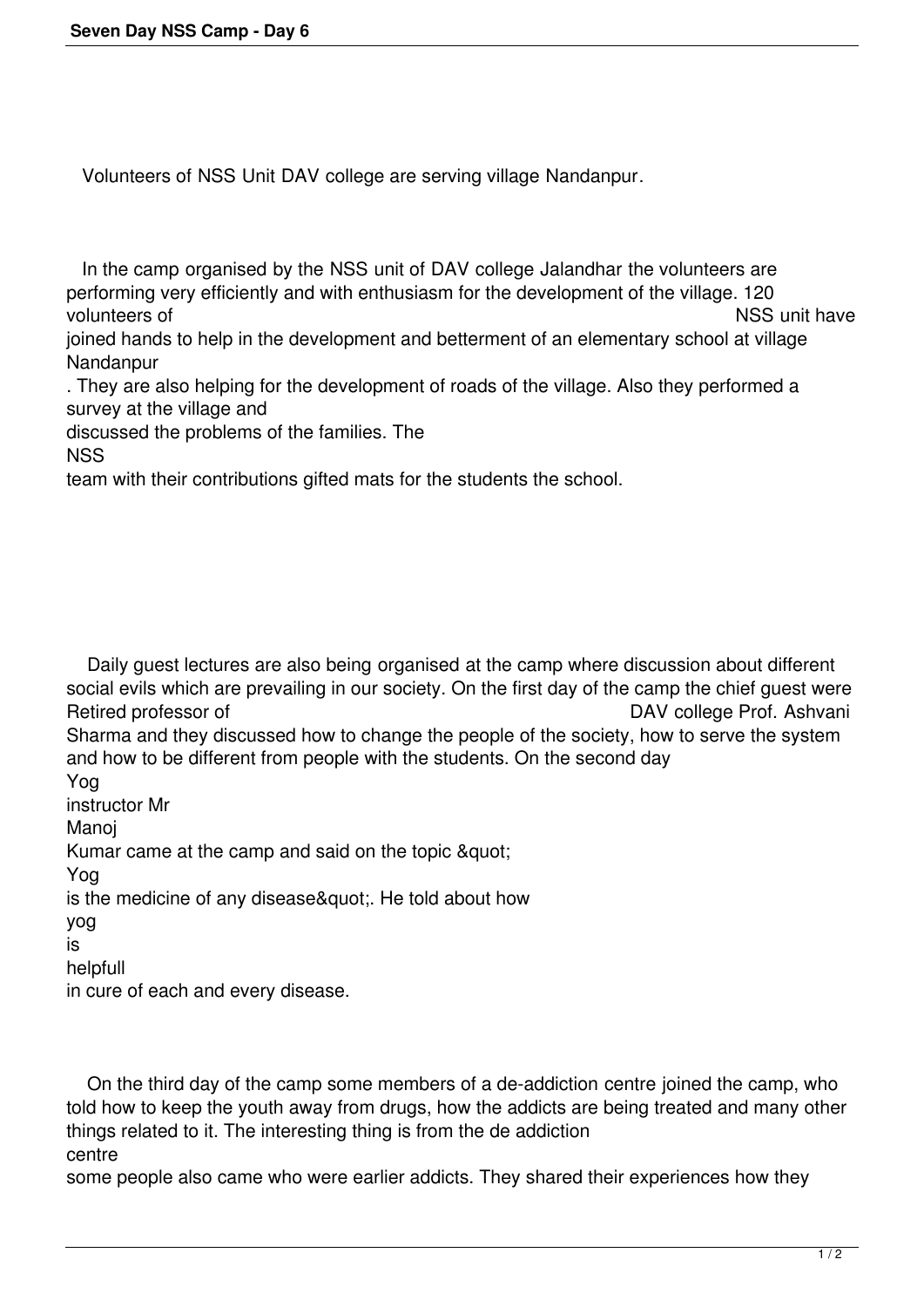Volunteers of NSS Unit DAV college are serving village Nandanpur.

 In the camp organised by the NSS unit of DAV college Jalandhar the volunteers are performing very efficiently and with enthusiasm for the development of the village. 120 volunteers of NSS unit have

joined hands to help in the development and betterment of an elementary school at village Nandanpur

. They are also helping for the development of roads of the village. Also they performed a survey at the village and

discussed the problems of the families. The

NSS

team with their contributions gifted mats for the students the school.

 Daily guest lectures are also being organised at the camp where discussion about different social evils which are prevailing in our society. On the first day of the camp the chief guest were<br>Retired professor of DAV college Prof. Ashyani DAV college Prof. Ashvani Sharma and they discussed how to change the people of the society, how to serve the system and how to be different from people with the students. On the second day Yog instructor Mr Manoj Kumar came at the camp and said on the topic & quot; Yog is the medicine of any disease". He told about how yog is

helpfull

in cure of each and every disease.

 On the third day of the camp some members of a de-addiction centre joined the camp, who told how to keep the youth away from drugs, how the addicts are being treated and many other things related to it. The interesting thing is from the de addiction centre

some people also came who were earlier addicts. They shared their experiences how they